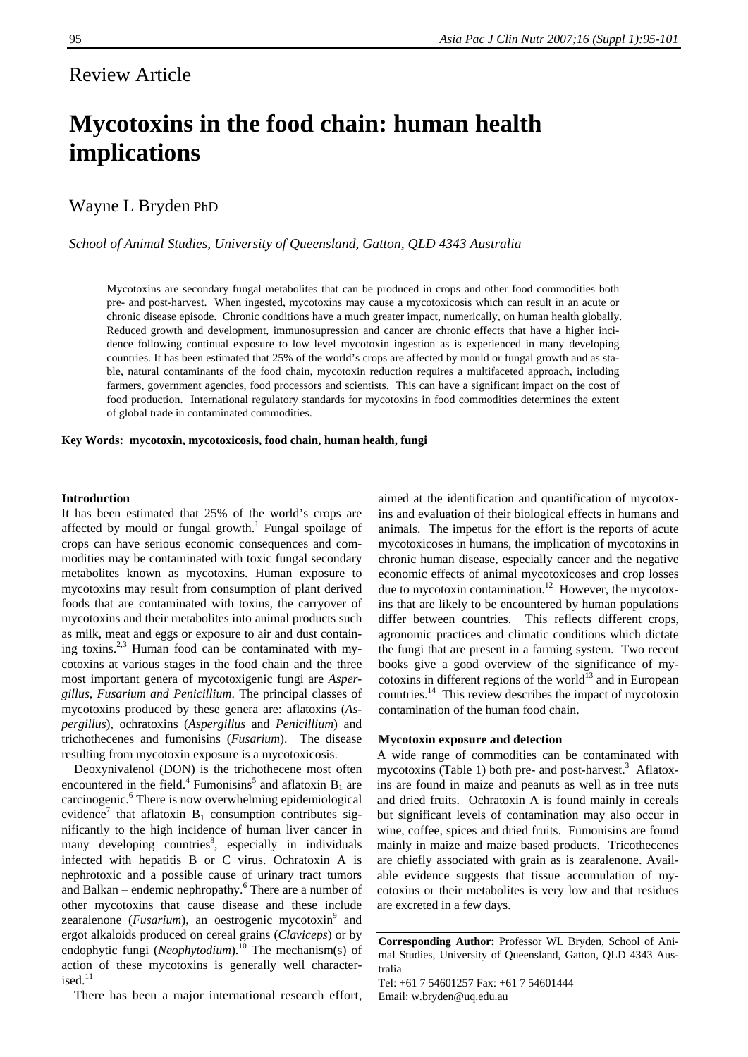## Review Article

# **Mycotoxins in the food chain: human health implications**

### Wayne L Bryden PhD

*School of Animal Studies, University of Queensland, Gatton, QLD 4343 Australia* 

Mycotoxins are secondary fungal metabolites that can be produced in crops and other food commodities both pre- and post-harvest. When ingested, mycotoxins may cause a mycotoxicosis which can result in an acute or chronic disease episode. Chronic conditions have a much greater impact, numerically, on human health globally. Reduced growth and development, immunosupression and cancer are chronic effects that have a higher incidence following continual exposure to low level mycotoxin ingestion as is experienced in many developing countries. It has been estimated that 25% of the world's crops are affected by mould or fungal growth and as stable, natural contaminants of the food chain, mycotoxin reduction requires a multifaceted approach, including farmers, government agencies, food processors and scientists. This can have a significant impact on the cost of food production. International regulatory standards for mycotoxins in food commodities determines the extent of global trade in contaminated commodities.

**Key Words: mycotoxin, mycotoxicosis, food chain, human health, fungi** 

#### **Introduction**

It has been estimated that 25% of the world's crops are affected by mould or fungal growth.<sup>1</sup> Fungal spoilage of crops can have serious economic consequences and commodities may be contaminated with toxic fungal secondary metabolites known as mycotoxins. Human exposure to mycotoxins may result from consumption of plant derived foods that are contaminated with toxins, the carryover of mycotoxins and their metabolites into animal products such as milk, meat and eggs or exposure to air and dust containing toxins.<sup>2,3</sup> Human food can be contaminated with mycotoxins at various stages in the food chain and the three most important genera of mycotoxigenic fungi are *Aspergillus, Fusarium and Penicillium*. The principal classes of mycotoxins produced by these genera are: aflatoxins (*Aspergillus*), ochratoxins (*Aspergillus* and *Penicillium*) and trichothecenes and fumonisins (*Fusarium*). The disease resulting from mycotoxin exposure is a mycotoxicosis.

Deoxynivalenol (DON) is the trichothecene most often encountered in the field.<sup>4</sup> Fumonisins<sup>5</sup> and aflatoxin  $B_1$  are carcinogenic.<sup>6</sup> There is now overwhelming epidemiological evidence<sup>7</sup> that aflatoxin  $B_1$  consumption contributes significantly to the high incidence of human liver cancer in many developing countries<sup>8</sup>, especially in individuals infected with hepatitis B or C virus. Ochratoxin A is nephrotoxic and a possible cause of urinary tract tumors and Balkan – endemic nephropathy.<sup>6</sup> There are a number of other mycotoxins that cause disease and these include zearalenone (*Fusarium*), an oestrogenic mycotoxin<sup>9</sup> and ergot alkaloids produced on cereal grains (*Claviceps*) or by endophytic fungi (*Neophytodium*).<sup>10</sup> The mechanism(s) of action of these mycotoxins is generally well characterised. $11$ 

There has been a major international research effort,

aimed at the identification and quantification of mycotoxins and evaluation of their biological effects in humans and animals. The impetus for the effort is the reports of acute mycotoxicoses in humans, the implication of mycotoxins in chronic human disease, especially cancer and the negative economic effects of animal mycotoxicoses and crop losses due to mycotoxin contamination.<sup>12</sup> However, the mycotoxins that are likely to be encountered by human populations differ between countries. This reflects different crops, agronomic practices and climatic conditions which dictate the fungi that are present in a farming system. Two recent books give a good overview of the significance of mycotoxins in different regions of the world $^{13}$  and in European countries.14 This review describes the impact of mycotoxin contamination of the human food chain.

#### **Mycotoxin exposure and detection**

A wide range of commodities can be contaminated with mycotoxins (Table 1) both pre- and post-harvest.<sup>3</sup> Aflatoxins are found in maize and peanuts as well as in tree nuts and dried fruits. Ochratoxin A is found mainly in cereals but significant levels of contamination may also occur in wine, coffee, spices and dried fruits. Fumonisins are found mainly in maize and maize based products. Tricothecenes are chiefly associated with grain as is zearalenone. Available evidence suggests that tissue accumulation of mycotoxins or their metabolites is very low and that residues are excreted in a few days.

**Corresponding Author:** Professor WL Bryden, School of Animal Studies, University of Queensland, Gatton, QLD 4343 Australia

Tel: +61 7 54601257 Fax: +61 7 54601444 Email: w.bryden@uq.edu.au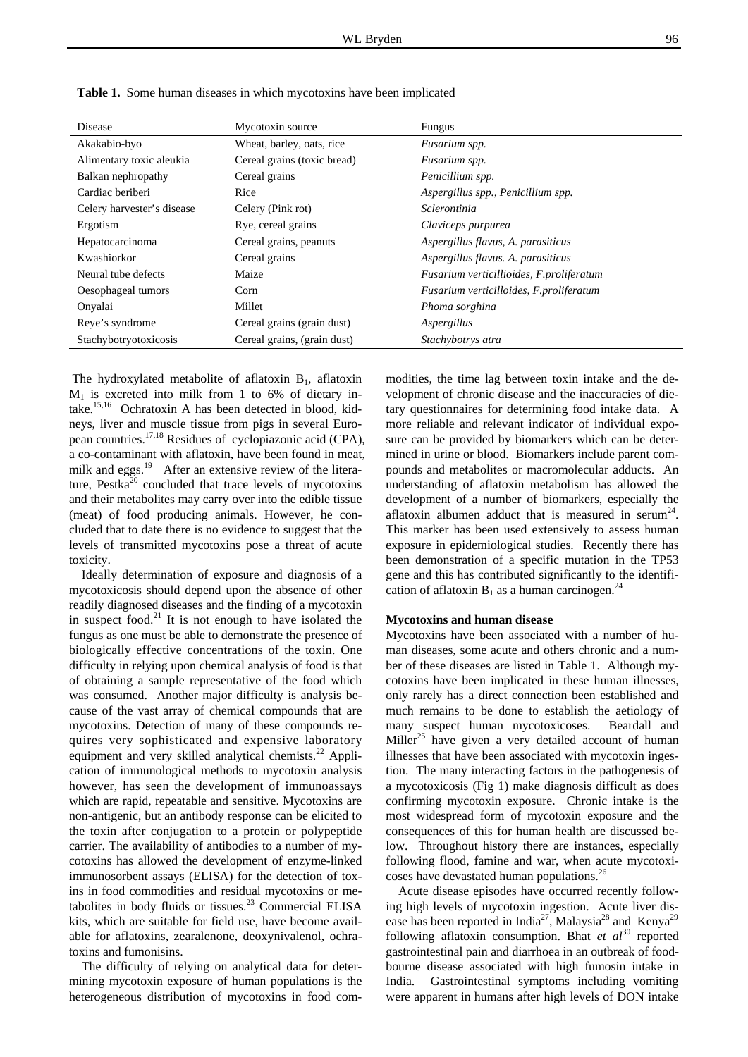| Disease                    | Mycotoxin source            | <b>Fungus</b>                            |
|----------------------------|-----------------------------|------------------------------------------|
| Akakabio-byo               | Wheat, barley, oats, rice   | Fusarium spp.                            |
| Alimentary toxic aleukia   | Cereal grains (toxic bread) | Fusarium spp.                            |
| Balkan nephropathy         | Cereal grains               | Penicillium spp.                         |
| Cardiac beriberi           | Rice                        | Aspergillus spp., Penicillium spp.       |
| Celery harvester's disease | Celery (Pink rot)           | <i>Sclerontinia</i>                      |
| Ergotism                   | Rye, cereal grains          | Claviceps purpurea                       |
| Hepatocarcinoma            | Cereal grains, peanuts      | Aspergillus flavus, A. parasiticus       |
| Kwashiorkor                | Cereal grains               | Aspergillus flavus. A. parasiticus       |
| Neural tube defects        | Maize                       | Fusarium verticillioides, F.proliferatum |
| Oesophageal tumors         | Corn                        | Fusarium verticilloides, F.proliferatum  |
| Onyalai                    | Millet                      | Phoma sorghina                           |
| Reye's syndrome            | Cereal grains (grain dust)  | Aspergillus                              |
| Stachybotryotoxicosis      | Cereal grains, (grain dust) | Stachybotrys atra                        |

**Table 1.** Some human diseases in which mycotoxins have been implicated

The hydroxylated metabolite of aflatoxin  $B_1$ , aflatoxin  $M_1$  is excreted into milk from 1 to 6% of dietary intake.15,16 Ochratoxin A has been detected in blood, kidneys, liver and muscle tissue from pigs in several European countries.17,18 Residues of cyclopiazonic acid (CPA), a co-contaminant with aflatoxin, have been found in meat, milk and eggs.<sup>19</sup> After an extensive review of the literature, Pestka<sup>20</sup> concluded that trace levels of mycotoxins and their metabolites may carry over into the edible tissue (meat) of food producing animals. However, he concluded that to date there is no evidence to suggest that the levels of transmitted mycotoxins pose a threat of acute toxicity.

Ideally determination of exposure and diagnosis of a mycotoxicosis should depend upon the absence of other readily diagnosed diseases and the finding of a mycotoxin in suspect food. $21$  It is not enough to have isolated the fungus as one must be able to demonstrate the presence of biologically effective concentrations of the toxin. One difficulty in relying upon chemical analysis of food is that of obtaining a sample representative of the food which was consumed. Another major difficulty is analysis because of the vast array of chemical compounds that are mycotoxins. Detection of many of these compounds requires very sophisticated and expensive laboratory equipment and very skilled analytical chemists.<sup>22</sup> Application of immunological methods to mycotoxin analysis however, has seen the development of immunoassays which are rapid, repeatable and sensitive. Mycotoxins are non-antigenic, but an antibody response can be elicited to the toxin after conjugation to a protein or polypeptide carrier. The availability of antibodies to a number of mycotoxins has allowed the development of enzyme-linked immunosorbent assays (ELISA) for the detection of toxins in food commodities and residual mycotoxins or metabolites in body fluids or tissues.<sup>23</sup> Commercial ELISA kits, which are suitable for field use, have become available for aflatoxins, zearalenone, deoxynivalenol, ochratoxins and fumonisins.

The difficulty of relying on analytical data for determining mycotoxin exposure of human populations is the heterogeneous distribution of mycotoxins in food commodities, the time lag between toxin intake and the development of chronic disease and the inaccuracies of dietary questionnaires for determining food intake data. A more reliable and relevant indicator of individual exposure can be provided by biomarkers which can be determined in urine or blood. Biomarkers include parent compounds and metabolites or macromolecular adducts. An understanding of aflatoxin metabolism has allowed the development of a number of biomarkers, especially the aflatoxin albumen adduct that is measured in serum<sup>24</sup>. This marker has been used extensively to assess human exposure in epidemiological studies. Recently there has been demonstration of a specific mutation in the TP53 gene and this has contributed significantly to the identification of aflatoxin  $B_1$  as a human carcinogen.<sup>24</sup>

#### **Mycotoxins and human disease**

Mycotoxins have been associated with a number of human diseases, some acute and others chronic and a number of these diseases are listed in Table 1. Although mycotoxins have been implicated in these human illnesses, only rarely has a direct connection been established and much remains to be done to establish the aetiology of many suspect human mycotoxicoses. Beardall and Miller<sup>25</sup> have given a very detailed account of human illnesses that have been associated with mycotoxin ingestion. The many interacting factors in the pathogenesis of a mycotoxicosis (Fig 1) make diagnosis difficult as does confirming mycotoxin exposure. Chronic intake is the most widespread form of mycotoxin exposure and the consequences of this for human health are discussed below. Throughout history there are instances, especially following flood, famine and war, when acute mycotoxicoses have devastated human populations.<sup>26</sup>

Acute disease episodes have occurred recently following high levels of mycotoxin ingestion. Acute liver disease has been reported in India<sup>27</sup>, Malaysia<sup>28</sup> and Kenya<sup>29</sup> following aflatoxin consumption. Bhat *et al*<sup>30</sup> reported gastrointestinal pain and diarrhoea in an outbreak of foodbourne disease associated with high fumosin intake in India. Gastrointestinal symptoms including vomiting were apparent in humans after high levels of DON intake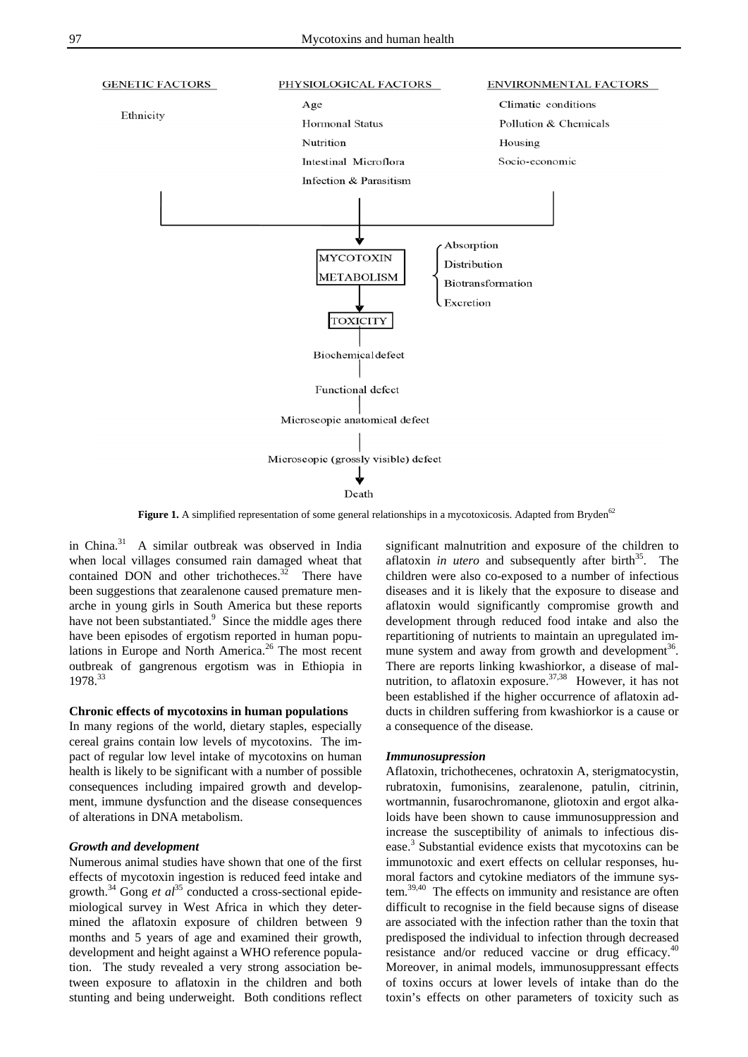

Figure 1. A simplified representation of some general relationships in a mycotoxicosis. Adapted from Bryden<sup>62</sup>

in China. $31$  A similar outbreak was observed in India when local villages consumed rain damaged wheat that contained DON and other trichotheces. $32$  There have been suggestions that zearalenone caused premature menarche in young girls in South America but these reports have not been substantiated.<sup>9</sup> Since the middle ages there have been episodes of ergotism reported in human populations in Europe and North America.<sup>26</sup> The most recent outbreak of gangrenous ergotism was in Ethiopia in 1978.<sup>33</sup>

#### **Chronic effects of mycotoxins in human populations**

In many regions of the world, dietary staples, especially cereal grains contain low levels of mycotoxins. The impact of regular low level intake of mycotoxins on human health is likely to be significant with a number of possible consequences including impaired growth and development, immune dysfunction and the disease consequences of alterations in DNA metabolism.

#### *Growth and development*

Numerous animal studies have shown that one of the first effects of mycotoxin ingestion is reduced feed intake and growth.<sup>34</sup> Gong *et al*<sup>35</sup> conducted a cross-sectional epidemiological survey in West Africa in which they determined the aflatoxin exposure of children between 9 months and 5 years of age and examined their growth, development and height against a WHO reference population. The study revealed a very strong association between exposure to aflatoxin in the children and both stunting and being underweight. Both conditions reflect

significant malnutrition and exposure of the children to aflatoxin *in utero* and subsequently after birth<sup>35</sup>. The children were also co-exposed to a number of infectious diseases and it is likely that the exposure to disease and aflatoxin would significantly compromise growth and development through reduced food intake and also the repartitioning of nutrients to maintain an upregulated immune system and away from growth and development<sup>36</sup>. There are reports linking kwashiorkor, a disease of malnutrition, to aflatoxin exposure.<sup>37,38</sup> However, it has not been established if the higher occurrence of aflatoxin adducts in children suffering from kwashiorkor is a cause or a consequence of the disease.

#### *Immunosupression*

Aflatoxin, trichothecenes, ochratoxin A, sterigmatocystin, rubratoxin, fumonisins, zearalenone, patulin, citrinin, wortmannin, fusarochromanone, gliotoxin and ergot alkaloids have been shown to cause immunosuppression and increase the susceptibility of animals to infectious disease.<sup>3</sup> Substantial evidence exists that mycotoxins can be immunotoxic and exert effects on cellular responses, humoral factors and cytokine mediators of the immune system.39,40 The effects on immunity and resistance are often difficult to recognise in the field because signs of disease are associated with the infection rather than the toxin that predisposed the individual to infection through decreased resistance and/or reduced vaccine or drug efficacy.<sup>40</sup> Moreover, in animal models, immunosuppressant effects of toxins occurs at lower levels of intake than do the toxin's effects on other parameters of toxicity such as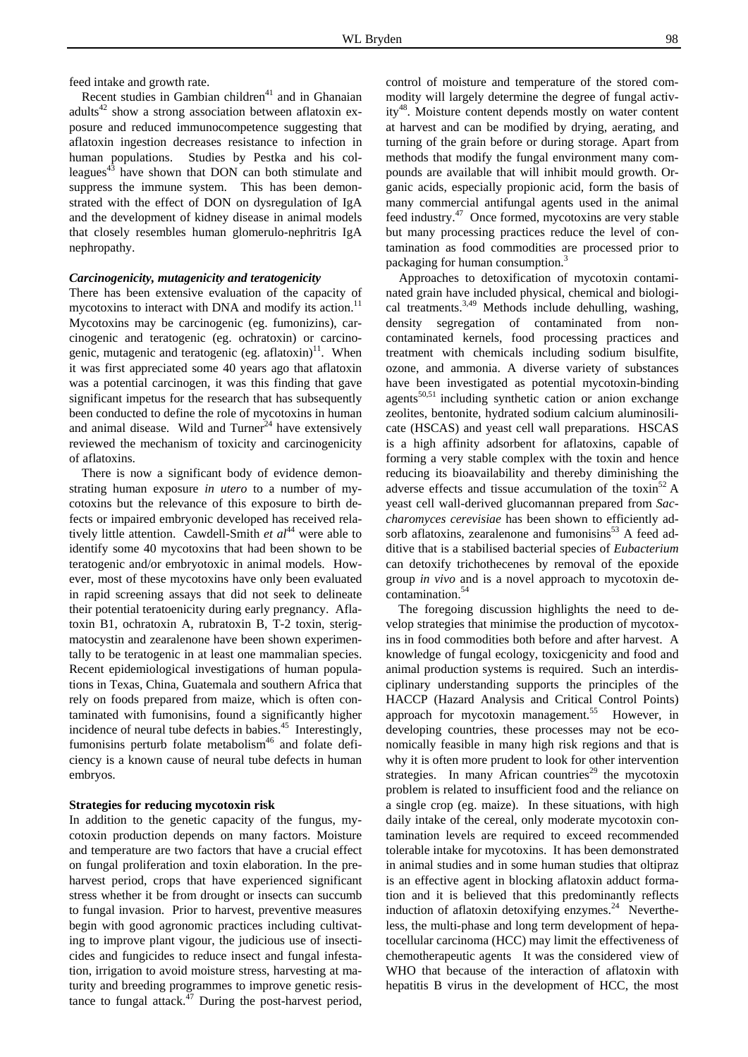feed intake and growth rate.

Recent studies in Gambian children<sup>41</sup> and in Ghanaian adults<sup>42</sup> show a strong association between aflatoxin exposure and reduced immunocompetence suggesting that aflatoxin ingestion decreases resistance to infection in human populations. Studies by Pestka and his colleagues<sup> $43$ </sup> have shown that DON can both stimulate and suppress the immune system. This has been demonstrated with the effect of DON on dysregulation of IgA and the development of kidney disease in animal models that closely resembles human glomerulo-nephritris IgA nephropathy.

#### *Carcinogenicity, mutagenicity and teratogenicity*

There has been extensive evaluation of the capacity of mycotoxins to interact with DNA and modify its action.<sup>11</sup> Mycotoxins may be carcinogenic (eg. fumonizins), carcinogenic and teratogenic (eg. ochratoxin) or carcinogenic, mutagenic and teratogenic (eg. aflatoxin) $11$ . When it was first appreciated some 40 years ago that aflatoxin was a potential carcinogen, it was this finding that gave significant impetus for the research that has subsequently been conducted to define the role of mycotoxins in human and animal disease. Wild and  $Turner<sup>24</sup>$  have extensively reviewed the mechanism of toxicity and carcinogenicity of aflatoxins.

There is now a significant body of evidence demonstrating human exposure *in utero* to a number of mycotoxins but the relevance of this exposure to birth defects or impaired embryonic developed has received relatively little attention. Cawdell-Smith *et al*<sup>44</sup> were able to identify some 40 mycotoxins that had been shown to be teratogenic and/or embryotoxic in animal models. However, most of these mycotoxins have only been evaluated in rapid screening assays that did not seek to delineate their potential teratoenicity during early pregnancy. Aflatoxin B1, ochratoxin A, rubratoxin B, T-2 toxin, sterigmatocystin and zearalenone have been shown experimentally to be teratogenic in at least one mammalian species. Recent epidemiological investigations of human populations in Texas, China, Guatemala and southern Africa that rely on foods prepared from maize, which is often contaminated with fumonisins, found a significantly higher incidence of neural tube defects in babies. $45$  Interestingly, fumonisins perturb folate metabolism<sup>46</sup> and folate deficiency is a known cause of neural tube defects in human embryos.

#### **Strategies for reducing mycotoxin risk**

In addition to the genetic capacity of the fungus, mycotoxin production depends on many factors. Moisture and temperature are two factors that have a crucial effect on fungal proliferation and toxin elaboration. In the preharvest period, crops that have experienced significant stress whether it be from drought or insects can succumb to fungal invasion. Prior to harvest, preventive measures begin with good agronomic practices including cultivating to improve plant vigour, the judicious use of insecticides and fungicides to reduce insect and fungal infestation, irrigation to avoid moisture stress, harvesting at maturity and breeding programmes to improve genetic resistance to fungal attack. $47$  During the post-harvest period,

control of moisture and temperature of the stored commodity will largely determine the degree of fungal activity48. Moisture content depends mostly on water content at harvest and can be modified by drying, aerating, and turning of the grain before or during storage. Apart from methods that modify the fungal environment many compounds are available that will inhibit mould growth. Organic acids, especially propionic acid, form the basis of many commercial antifungal agents used in the animal feed industry.47 Once formed, mycotoxins are very stable but many processing practices reduce the level of contamination as food commodities are processed prior to packaging for human consumption.<sup>3</sup>

 Approaches to detoxification of mycotoxin contaminated grain have included physical, chemical and biological treatments.<sup>3,49</sup> Methods include dehulling, washing, density segregation of contaminated from noncontaminated kernels, food processing practices and treatment with chemicals including sodium bisulfite, ozone, and ammonia. A diverse variety of substances have been investigated as potential mycotoxin-binding agents $50,51$  including synthetic cation or anion exchange zeolites, bentonite, hydrated sodium calcium aluminosilicate (HSCAS) and yeast cell wall preparations. HSCAS is a high affinity adsorbent for aflatoxins, capable of forming a very stable complex with the toxin and hence reducing its bioavailability and thereby diminishing the adverse effects and tissue accumulation of the toxin<sup>52</sup> A yeast cell wall-derived glucomannan prepared from *Saccharomyces cerevisiae* has been shown to efficiently adsorb aflatoxins, zearalenone and fumonisins $53$  A feed additive that is a stabilised bacterial species of *Eubacterium* can detoxify trichothecenes by removal of the epoxide group *in vivo* and is a novel approach to mycotoxin decontamination.<sup>54</sup>

The foregoing discussion highlights the need to develop strategies that minimise the production of mycotoxins in food commodities both before and after harvest. A knowledge of fungal ecology, toxicgenicity and food and animal production systems is required. Such an interdisciplinary understanding supports the principles of the HACCP (Hazard Analysis and Critical Control Points) approach for mycotoxin management.<sup>55</sup> However, in developing countries, these processes may not be economically feasible in many high risk regions and that is why it is often more prudent to look for other intervention strategies. In many African countries<sup>29</sup> the mycotoxin problem is related to insufficient food and the reliance on a single crop (eg. maize). In these situations, with high daily intake of the cereal, only moderate mycotoxin contamination levels are required to exceed recommended tolerable intake for mycotoxins. It has been demonstrated in animal studies and in some human studies that oltipraz is an effective agent in blocking aflatoxin adduct formation and it is believed that this predominantly reflects induction of aflatoxin detoxifying enzymes. $24$  Nevertheless, the multi-phase and long term development of hepatocellular carcinoma (HCC) may limit the effectiveness of chemotherapeutic agents It was the considered view of WHO that because of the interaction of aflatoxin with hepatitis B virus in the development of HCC, the most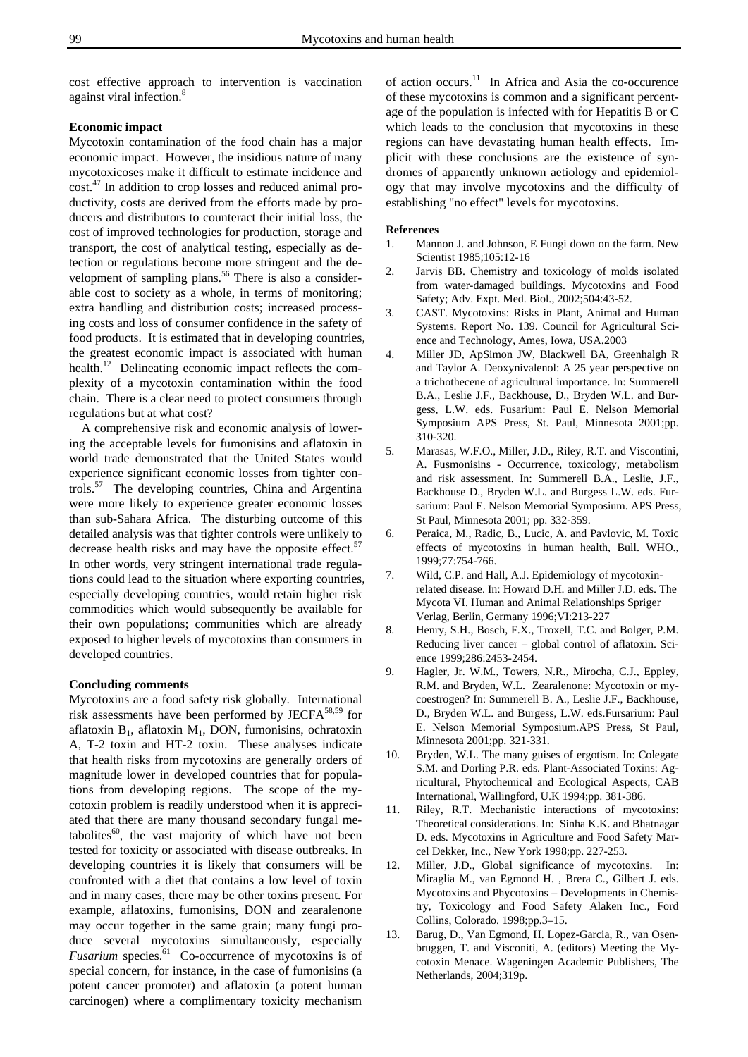cost effective approach to intervention is vaccination against viral infection.<sup>8</sup>

#### **Economic impact**

Mycotoxin contamination of the food chain has a major economic impact. However, the insidious nature of many mycotoxicoses make it difficult to estimate incidence and cost.47 In addition to crop losses and reduced animal productivity, costs are derived from the efforts made by producers and distributors to counteract their initial loss, the cost of improved technologies for production, storage and transport, the cost of analytical testing, especially as detection or regulations become more stringent and the development of sampling plans.<sup>56</sup> There is also a considerable cost to society as a whole, in terms of monitoring; extra handling and distribution costs; increased processing costs and loss of consumer confidence in the safety of food products. It is estimated that in developing countries, the greatest economic impact is associated with human health.<sup>12</sup> Delineating economic impact reflects the complexity of a mycotoxin contamination within the food chain. There is a clear need to protect consumers through regulations but at what cost?

A comprehensive risk and economic analysis of lowering the acceptable levels for fumonisins and aflatoxin in world trade demonstrated that the United States would experience significant economic losses from tighter controls.57 The developing countries, China and Argentina were more likely to experience greater economic losses than sub-Sahara Africa. The disturbing outcome of this detailed analysis was that tighter controls were unlikely to decrease health risks and may have the opposite effect.<sup>57</sup> In other words, very stringent international trade regulations could lead to the situation where exporting countries, especially developing countries, would retain higher risk commodities which would subsequently be available for their own populations; communities which are already exposed to higher levels of mycotoxins than consumers in developed countries.

#### **Concluding comments**

Mycotoxins are a food safety risk globally. International risk assessments have been performed by JECFA $^{58,59}$  for aflatoxin  $B_1$ , aflatoxin  $M_1$ , DON, fumonisins, ochratoxin A, T-2 toxin and HT-2 toxin. These analyses indicate that health risks from mycotoxins are generally orders of magnitude lower in developed countries that for populations from developing regions. The scope of the mycotoxin problem is readily understood when it is appreciated that there are many thousand secondary fungal metabolites $^{60}$ , the vast majority of which have not been tested for toxicity or associated with disease outbreaks. In developing countries it is likely that consumers will be confronted with a diet that contains a low level of toxin and in many cases, there may be other toxins present. For example, aflatoxins, fumonisins, DON and zearalenone may occur together in the same grain; many fungi produce several mycotoxins simultaneously, especially *Fusarium* species.61 Co-occurrence of mycotoxins is of special concern, for instance, in the case of fumonisins (a potent cancer promoter) and aflatoxin (a potent human carcinogen) where a complimentary toxicity mechanism

of action occurs.11 In Africa and Asia the co-occurence of these mycotoxins is common and a significant percentage of the population is infected with for Hepatitis B or C which leads to the conclusion that mycotoxins in these regions can have devastating human health effects. Implicit with these conclusions are the existence of syndromes of apparently unknown aetiology and epidemiology that may involve mycotoxins and the difficulty of establishing "no effect" levels for mycotoxins.

#### **References**

- 1. Mannon J. and Johnson, E Fungi down on the farm. New Scientist 1985;105:12-16
- 2. Jarvis BB. Chemistry and toxicology of molds isolated from water-damaged buildings. Mycotoxins and Food Safety; Adv. Expt. Med. Biol., 2002;504:43-52.
- 3. CAST. Mycotoxins: Risks in Plant, Animal and Human Systems. Report No. 139. Council for Agricultural Science and Technology, Ames, Iowa, USA.2003
- 4. Miller JD, ApSimon JW, Blackwell BA, Greenhalgh R and Taylor A. Deoxynivalenol: A 25 year perspective on a trichothecene of agricultural importance. In: Summerell B.A., Leslie J.F., Backhouse, D., Bryden W.L. and Burgess, L.W. eds. Fusarium: Paul E. Nelson Memorial Symposium APS Press, St. Paul, Minnesota 2001;pp. 310-320.
- 5. Marasas, W.F.O., Miller, J.D., Riley, R.T. and Viscontini, A. Fusmonisins - Occurrence, toxicology, metabolism and risk assessment. In: Summerell B.A., Leslie, J.F., Backhouse D., Bryden W.L. and Burgess L.W. eds. Fursarium: Paul E. Nelson Memorial Symposium. APS Press, St Paul, Minnesota 2001; pp. 332-359.
- 6. Peraica, M., Radic, B., Lucic, A. and Pavlovic, M. Toxic effects of mycotoxins in human health, Bull. WHO., 1999;77:754-766.
- 7. Wild, C.P. and Hall, A.J. Epidemiology of mycotoxinrelated disease. In: Howard D.H. and Miller J.D. eds. The Mycota VI. Human and Animal Relationships Spriger Verlag, Berlin, Germany 1996;VI:213-227
- 8. Henry, S.H., Bosch, F.X., Troxell, T.C. and Bolger, P.M. Reducing liver cancer – global control of aflatoxin. Science 1999;286:2453-2454.
- 9. Hagler, Jr. W.M., Towers, N.R., Mirocha, C.J., Eppley, R.M. and Bryden, W.L. Zearalenone: Mycotoxin or mycoestrogen? In: Summerell B. A., Leslie J.F., Backhouse, D., Bryden W.L. and Burgess, L.W. eds.Fursarium: Paul E. Nelson Memorial Symposium.APS Press, St Paul, Minnesota 2001;pp. 321-331.
- 10. Bryden, W.L. The many guises of ergotism. In: Colegate S.M. and Dorling P.R. eds. Plant-Associated Toxins: Agricultural, Phytochemical and Ecological Aspects, CAB International, Wallingford, U.K 1994;pp. 381-386.
- 11. Riley, R.T. Mechanistic interactions of mycotoxins: Theoretical considerations. In: Sinha K.K. and Bhatnagar D. eds. Mycotoxins in Agriculture and Food Safety Marcel Dekker, Inc., New York 1998;pp. 227-253.
- 12. Miller, J.D., Global significance of mycotoxins. In: Miraglia M., van Egmond H. , Brera C., Gilbert J. eds. Mycotoxins and Phycotoxins – Developments in Chemistry, Toxicology and Food Safety Alaken Inc., Ford Collins, Colorado. 1998;pp.3–15.
- 13. Barug, D., Van Egmond, H. Lopez-Garcia, R., van Osenbruggen, T. and Visconiti, A. (editors) Meeting the Mycotoxin Menace. Wageningen Academic Publishers, The Netherlands, 2004;319p.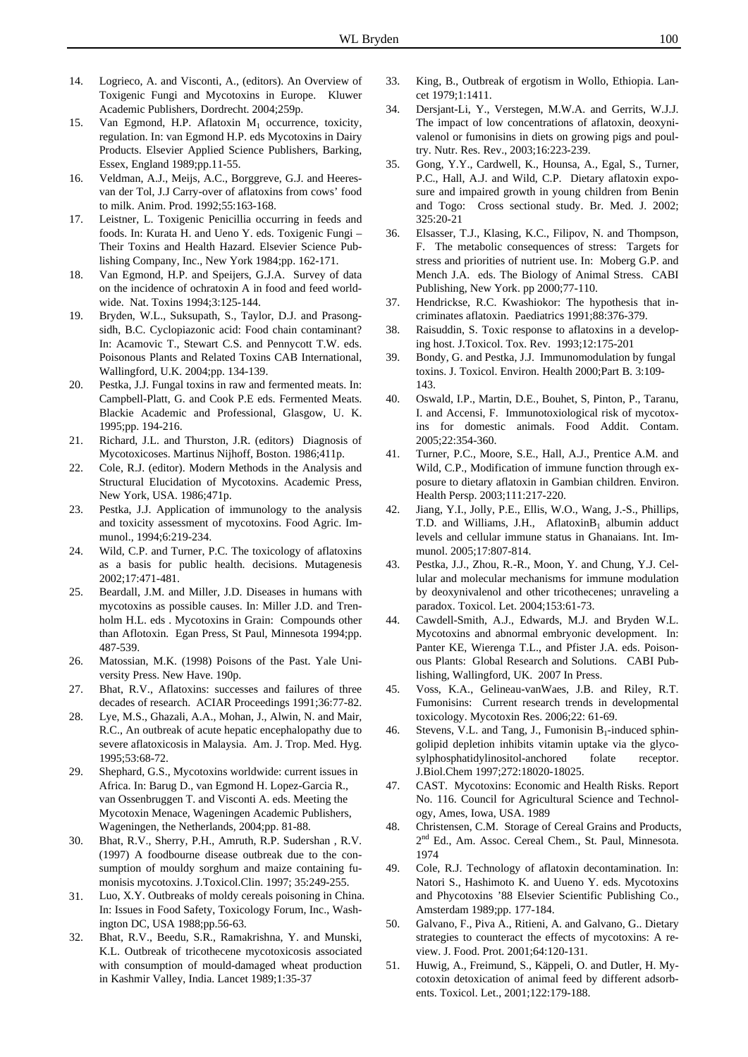- 14. Logrieco, A. and Visconti, A., (editors). An Overview of Toxigenic Fungi and Mycotoxins in Europe. Kluwer Academic Publishers, Dordrecht. 2004;259p.
- 15. Van Egmond, H.P. Aflatoxin  $M_1$  occurrence, toxicity, regulation. In: van Egmond H.P. eds Mycotoxins in Dairy Products. Elsevier Applied Science Publishers, Barking, Essex, England 1989;pp.11-55.
- 16. Veldman, A.J., Meijs, A.C., Borggreve, G.J. and Heeresvan der Tol, J.J Carry-over of aflatoxins from cows' food to milk. Anim. Prod. 1992;55:163-168.
- 17. Leistner, L. Toxigenic Penicillia occurring in feeds and foods. In: Kurata H. and Ueno Y. eds. Toxigenic Fungi – Their Toxins and Health Hazard. Elsevier Science Publishing Company, Inc., New York 1984;pp. 162-171.
- 18. Van Egmond, H.P. and Speijers, G.J.A. Survey of data on the incidence of ochratoxin A in food and feed worldwide. Nat. Toxins 1994;3:125-144.
- 19. Bryden, W.L., Suksupath, S., Taylor, D.J. and Prasongsidh, B.C. Cyclopiazonic acid: Food chain contaminant? In: Acamovic T., Stewart C.S. and Pennycott T.W. eds. Poisonous Plants and Related Toxins CAB International, Wallingford, U.K. 2004;pp. 134-139.
- 20. Pestka, J.J. Fungal toxins in raw and fermented meats. In: Campbell-Platt, G. and Cook P.E eds. Fermented Meats. Blackie Academic and Professional, Glasgow, U. K. 1995;pp. 194-216.
- 21. Richard, J.L. and Thurston, J.R. (editors) Diagnosis of Mycotoxicoses. Martinus Nijhoff, Boston. 1986;411p.
- 22. Cole, R.J. (editor). Modern Methods in the Analysis and Structural Elucidation of Mycotoxins. Academic Press, New York, USA. 1986;471p.
- 23. Pestka, J.J. Application of immunology to the analysis and toxicity assessment of mycotoxins. Food Agric. Immunol., 1994;6:219-234.
- 24. Wild, C.P. and Turner, P.C. The toxicology of aflatoxins as a basis for public health. decisions. Mutagenesis 2002;17:471-481.
- 25. Beardall, J.M. and Miller, J.D. Diseases in humans with mycotoxins as possible causes. In: Miller J.D. and Trenholm H.L. eds . Mycotoxins in Grain: Compounds other than Aflotoxin. Egan Press, St Paul, Minnesota 1994;pp. 487-539.
- 26. Matossian, M.K. (1998) Poisons of the Past. Yale University Press. New Have. 190p.
- 27. Bhat, R.V., Aflatoxins: successes and failures of three decades of research. ACIAR Proceedings 1991;36:77-82.
- 28. Lye, M.S., Ghazali, A.A., Mohan, J., Alwin, N. and Mair, R.C., An outbreak of acute hepatic encephalopathy due to severe aflatoxicosis in Malaysia. Am. J. Trop. Med. Hyg. 1995;53:68-72.
- 29. Shephard, G.S., Mycotoxins worldwide: current issues in Africa. In: Barug D., van Egmond H. Lopez-Garcia R., van Ossenbruggen T. and Visconti A. eds. Meeting the Mycotoxin Menace, Wageningen Academic Publishers, Wageningen, the Netherlands, 2004;pp. 81-88.
- 30. Bhat, R.V., Sherry, P.H., Amruth, R.P. Sudershan , R.V. (1997) A foodbourne disease outbreak due to the consumption of mouldy sorghum and maize containing fumonisis mycotoxins. J.Toxicol.Clin. 1997; 35:249-255.
- 31. Luo, X.Y. Outbreaks of moldy cereals poisoning in China. In: Issues in Food Safety, Toxicology Forum, Inc., Washington DC, USA 1988;pp.56-63.
- 32. Bhat, R.V., Beedu, S.R., Ramakrishna, Y. and Munski, K.L. Outbreak of tricothecene mycotoxicosis associated with consumption of mould-damaged wheat production in Kashmir Valley, India. Lancet 1989;1:35-37
- 33. King, B., Outbreak of ergotism in Wollo, Ethiopia. Lancet 1979;1:1411.
- 34. Dersjant-Li, Y., Verstegen, M.W.A. and Gerrits, W.J.J. The impact of low concentrations of aflatoxin, deoxynivalenol or fumonisins in diets on growing pigs and poultry. Nutr. Res. Rev., 2003;16:223-239.
- 35. Gong, Y.Y., Cardwell, K., Hounsa, A., Egal, S., Turner, P.C., Hall, A.J. and Wild, C.P. Dietary aflatoxin exposure and impaired growth in young children from Benin and Togo: Cross sectional study. Br. Med. J. 2002; 325:20-21
- 36. Elsasser, T.J., Klasing, K.C., Filipov, N. and Thompson, F. The metabolic consequences of stress: Targets for stress and priorities of nutrient use. In: Moberg G.P. and Mench J.A. eds. The Biology of Animal Stress. CABI Publishing, New York. pp 2000;77-110.
- 37. Hendrickse, R.C. Kwashiokor: The hypothesis that incriminates aflatoxin. Paediatrics 1991;88:376-379.
- 38. Raisuddin, S. Toxic response to aflatoxins in a developing host. J.Toxicol. Tox. Rev. 1993;12:175-201
- 39. Bondy, G. and Pestka, J.J. Immunomodulation by fungal toxins. J. Toxicol. Environ. Health 2000;Part B. 3:109- 143.
- 40. Oswald, I.P., Martin, D.E., Bouhet, S, Pinton, P., Taranu, I. and Accensi, F. Immunotoxiological risk of mycotoxins for domestic animals. Food Addit. Contam. 2005;22:354-360.
- 41. Turner, P.C., Moore, S.E., Hall, A.J., Prentice A.M. and Wild, C.P., Modification of immune function through exposure to dietary aflatoxin in Gambian children. Environ. Health Persp. 2003;111:217-220.
- 42. Jiang, Y.I., Jolly, P.E., Ellis, W.O., Wang, J.-S., Phillips, T.D. and Williams, J.H., Aflatoxin $B_1$  albumin adduct levels and cellular immune status in Ghanaians. Int. Immunol. 2005;17:807-814.
- 43. Pestka, J.J., Zhou, R.-R., Moon, Y. and Chung, Y.J. Cellular and molecular mechanisms for immune modulation by deoxynivalenol and other tricothecenes; unraveling a paradox. Toxicol. Let. 2004;153:61-73.
- 44. Cawdell-Smith, A.J., Edwards, M.J. and Bryden W.L. Mycotoxins and abnormal embryonic development. In: Panter KE, Wierenga T.L., and Pfister J.A. eds. Poisonous Plants: Global Research and Solutions. CABI Publishing, Wallingford, UK. 2007 In Press.
- 45. Voss, K.A., Gelineau-vanWaes, J.B. and Riley, R.T. Fumonisins: Current research trends in developmental toxicology. Mycotoxin Res. 2006;22: 61-69.
- 46. Stevens, V.L. and Tang, J., Fumonisin  $B_1$ -induced sphingolipid depletion inhibits vitamin uptake via the glycosylphosphatidylinositol-anchored folate receptor. J.Biol.Chem 1997;272:18020-18025.
- 47. CAST. Mycotoxins: Economic and Health Risks. Report No. 116. Council for Agricultural Science and Technology, Ames, Iowa, USA. 1989
- 48. Christensen, C.M. Storage of Cereal Grains and Products, 2<sup>nd</sup> Ed., Am. Assoc. Cereal Chem., St. Paul, Minnesota. 1974
- 49. Cole, R.J. Technology of aflatoxin decontamination. In: Natori S., Hashimoto K. and Uueno Y. eds. Mycotoxins and Phycotoxins '88 Elsevier Scientific Publishing Co., Amsterdam 1989;pp. 177-184.
- 50. Galvano, F., Piva A., Ritieni, A. and Galvano, G.. Dietary strategies to counteract the effects of mycotoxins: A review. J. Food. Prot. 2001;64:120-131.
- 51. Huwig, A., Freimund, S., Käppeli, O. and Dutler, H. Mycotoxin detoxication of animal feed by different adsorbents. Toxicol. Let., 2001;122:179-188.